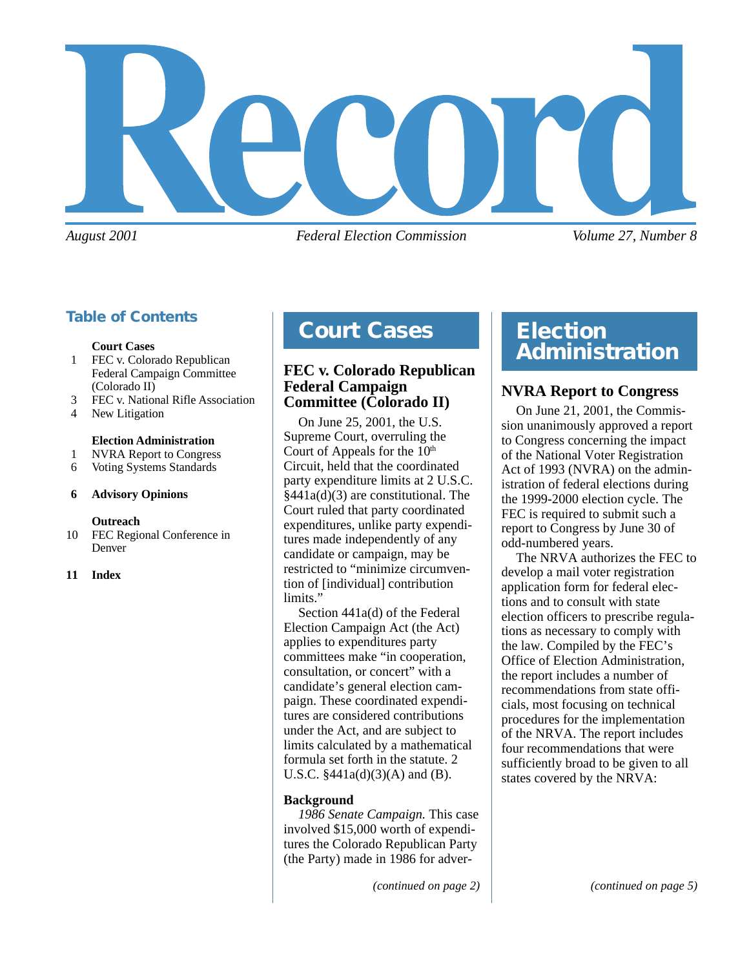

*August 2001 Federal Election Commission Volume 27, Number 8*

#### **Table of Contents**

#### **Court Cases**

- 1 FEC v. Colorado Republican Federal Campaign Committee (Colorado II)
- 3 FEC v. National Rifle Association
- 4 New Litigation

#### **Election Administration**

- 1 NVRA Report to Congress
- 6 Voting Systems Standards

#### **6 Advisory Opinions**

#### **Outreach**

10 FEC Regional Conference in Denver

#### **11 Index**

### **Court Cases Election**

#### **FEC v. Colorado Republican Federal Campaign Committee (Colorado II)**

On June 25, 2001, the U.S. Supreme Court, overruling the Court of Appeals for the 10<sup>th</sup> Circuit, held that the coordinated party expenditure limits at 2 U.S.C. §441a(d)(3) are constitutional. The Court ruled that party coordinated expenditures, unlike party expenditures made independently of any candidate or campaign, may be restricted to "minimize circumvention of [individual] contribution limits."

Section 441a(d) of the Federal Election Campaign Act (the Act) applies to expenditures party committees make "in cooperation, consultation, or concert" with a candidate's general election campaign. These coordinated expenditures are considered contributions under the Act, and are subject to limits calculated by a mathematical formula set forth in the statute. 2 U.S.C.  $$441a(d)(3)(A)$  and (B).

#### **Background**

*1986 Senate Campaign.* This case involved \$15,000 worth of expenditures the Colorado Republican Party (the Party) made in 1986 for adver-

# **Administration**

#### **NVRA Report to Congress**

On June 21, 2001, the Commission unanimously approved a report to Congress concerning the impact of the National Voter Registration Act of 1993 (NVRA) on the administration of federal elections during the 1999-2000 election cycle. The FEC is required to submit such a report to Congress by June 30 of odd-numbered years.

The NRVA authorizes the FEC to develop a mail voter registration application form for federal elections and to consult with state election officers to prescribe regulations as necessary to comply with the law. Compiled by the FEC's Office of Election Administration, the report includes a number of recommendations from state officials, most focusing on technical procedures for the implementation of the NRVA. The report includes four recommendations that were sufficiently broad to be given to all states covered by the NRVA: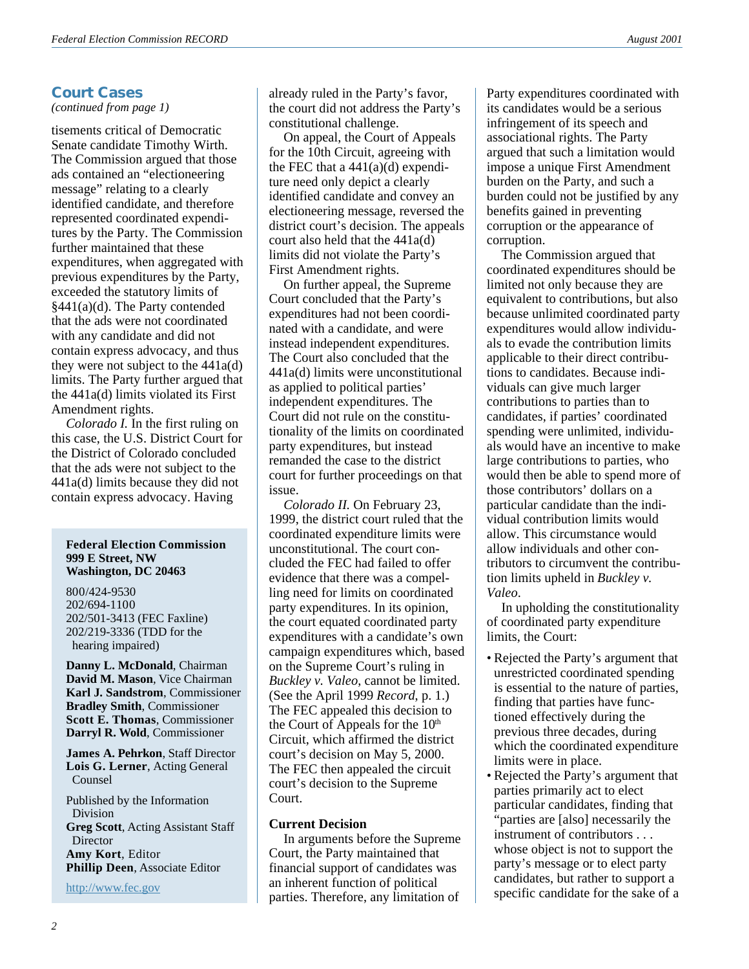### **Court Cases**

*(continued from page 1)*

tisements critical of Democratic Senate candidate Timothy Wirth. The Commission argued that those ads contained an "electioneering message" relating to a clearly identified candidate, and therefore represented coordinated expenditures by the Party. The Commission further maintained that these expenditures, when aggregated with previous expenditures by the Party, exceeded the statutory limits of §441(a)(d). The Party contended that the ads were not coordinated with any candidate and did not contain express advocacy, and thus they were not subject to the  $441a(d)$ limits. The Party further argued that the 441a(d) limits violated its First Amendment rights.

*Colorado I.* In the first ruling on this case, the U.S. District Court for the District of Colorado concluded that the ads were not subject to the 441a(d) limits because they did not contain express advocacy. Having

#### **Federal Election Commission 999 E Street, NW Washington, DC 20463**

800/424-9530 202/694-1100 202/501-3413 (FEC Faxline) 202/219-3336 (TDD for the hearing impaired)

**Danny L. McDonald**, Chairman **David M. Mason**, Vice Chairman **Karl J. Sandstrom**, Commissioner **Bradley Smith**, Commissioner **Scott E. Thomas**, Commissioner **Darryl R. Wold**, Commissioner

**James A. Pehrkon**, Staff Director **Lois G. Lerner**, Acting General Counsel

Published by the Information Division **Greg Scott**, Acting Assistant Staff **Director Amy Kort**, Editor **Phillip Deen**, Associate Editor

<http://www.fec.gov>

already ruled in the Party's favor, the court did not address the Party's constitutional challenge.

On appeal, the Court of Appeals for the 10th Circuit, agreeing with the FEC that a  $441(a)(d)$  expenditure need only depict a clearly identified candidate and convey an electioneering message, reversed the district court's decision. The appeals court also held that the 441a(d) limits did not violate the Party's First Amendment rights.

On further appeal, the Supreme Court concluded that the Party's expenditures had not been coordinated with a candidate, and were instead independent expenditures. The Court also concluded that the 441a(d) limits were unconstitutional as applied to political parties' independent expenditures. The Court did not rule on the constitutionality of the limits on coordinated party expenditures, but instead remanded the case to the district court for further proceedings on that issue.

*Colorado II.* On February 23, 1999, the district court ruled that the coordinated expenditure limits were unconstitutional. The court concluded the FEC had failed to offer evidence that there was a compelling need for limits on coordinated party expenditures. In its opinion, the court equated coordinated party expenditures with a candidate's own campaign expenditures which, based on the Supreme Court's ruling in *Buckley v. Valeo*, cannot be limited. (See the April 1999 *Record*, p. 1.) The FEC appealed this decision to the Court of Appeals for the  $10<sup>th</sup>$ Circuit, which affirmed the district court's decision on May 5, 2000. The FEC then appealed the circuit court's decision to the Supreme Court.

#### **Current Decision**

In arguments before the Supreme Court, the Party maintained that financial support of candidates was an inherent function of political parties. Therefore, any limitation of

Party expenditures coordinated with its candidates would be a serious infringement of its speech and associational rights. The Party argued that such a limitation would impose a unique First Amendment burden on the Party, and such a burden could not be justified by any benefits gained in preventing corruption or the appearance of corruption.

The Commission argued that coordinated expenditures should be limited not only because they are equivalent to contributions, but also because unlimited coordinated party expenditures would allow individuals to evade the contribution limits applicable to their direct contributions to candidates. Because individuals can give much larger contributions to parties than to candidates, if parties' coordinated spending were unlimited, individuals would have an incentive to make large contributions to parties, who would then be able to spend more of those contributors' dollars on a particular candidate than the individual contribution limits would allow. This circumstance would allow individuals and other contributors to circumvent the contribution limits upheld in *Buckley v. Valeo*.

In upholding the constitutionality of coordinated party expenditure limits, the Court:

- Rejected the Party's argument that unrestricted coordinated spending is essential to the nature of parties, finding that parties have functioned effectively during the previous three decades, during which the coordinated expenditure limits were in place.
- Rejected the Party's argument that parties primarily act to elect particular candidates, finding that "parties are [also] necessarily the instrument of contributors . . . whose object is not to support the party's message or to elect party candidates, but rather to support a specific candidate for the sake of a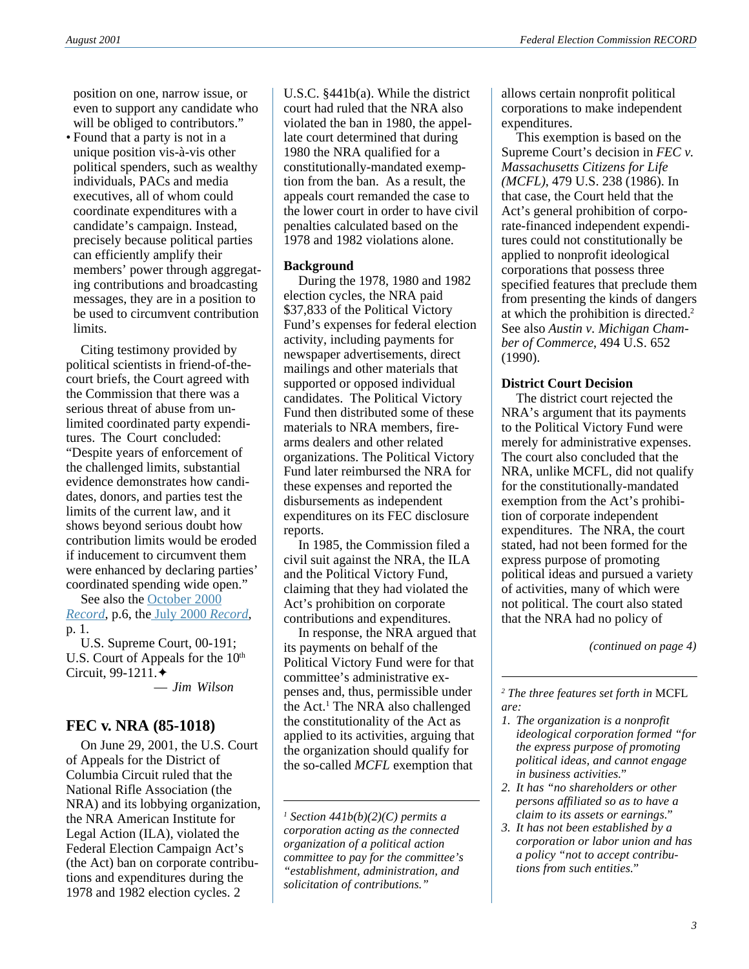position on one, narrow issue, or even to support any candidate who will be obliged to contributors."

• Found that a party is not in a unique position vis-à-vis other political spenders, such as wealthy individuals, PACs and media executives, all of whom could coordinate expenditures with a candidate's campaign. Instead, precisely because political parties can efficiently amplify their members' power through aggregating contributions and broadcasting messages, they are in a position to be used to circumvent contribution limits.

Citing testimony provided by political scientists in friend-of-thecourt briefs, the Court agreed with the Commission that there was a serious threat of abuse from unlimited coordinated party expenditures. The Court concluded: "Despite years of enforcement of the challenged limits, substantial evidence demonstrates how candidates, donors, and parties test the limits of the current law, and it shows beyond serious doubt how contribution limits would be eroded if inducement to circumvent them were enhanced by declaring parties' coordinated spending wide open."

See also the [October 2000](http://www.fec.gov/pdf/oct00.pdf) *[Record](http://www.fec.gov/pdf/oct00.pdf)*, p.6, the [July 2000](http://www.fec.gov/pdf/July00.pdf) *Record*, p. 1.

U.S. Supreme Court, 00-191; U.S. Court of Appeals for the  $10<sup>th</sup>$ Circuit, 99-1211.✦

— *Jim Wilson*

#### **FEC v. NRA (85-1018)**

On June 29, 2001, the U.S. Court of Appeals for the District of Columbia Circuit ruled that the National Rifle Association (the NRA) and its lobbying organization, the NRA American Institute for Legal Action (ILA), violated the Federal Election Campaign Act's (the Act) ban on corporate contributions and expenditures during the 1978 and 1982 election cycles. 2

U.S.C. §441b(a). While the district court had ruled that the NRA also violated the ban in 1980, the appellate court determined that during 1980 the NRA qualified for a constitutionally-mandated exemption from the ban. As a result, the appeals court remanded the case to the lower court in order to have civil penalties calculated based on the 1978 and 1982 violations alone.

#### **Background**

During the 1978, 1980 and 1982 election cycles, the NRA paid \$37,833 of the Political Victory Fund's expenses for federal election activity, including payments for newspaper advertisements, direct mailings and other materials that supported or opposed individual candidates. The Political Victory Fund then distributed some of these materials to NRA members, firearms dealers and other related organizations. The Political Victory Fund later reimbursed the NRA for these expenses and reported the disbursements as independent expenditures on its FEC disclosure reports.

In 1985, the Commission filed a civil suit against the NRA, the ILA and the Political Victory Fund, claiming that they had violated the Act's prohibition on corporate contributions and expenditures.

In response, the NRA argued that its payments on behalf of the Political Victory Fund were for that committee's administrative expenses and, thus, permissible under the Act.<sup>1</sup> The NRA also challenged the constitutionality of the Act as applied to its activities, arguing that the organization should qualify for the so-called *MCFL* exemption that

allows certain nonprofit political corporations to make independent expenditures.

This exemption is based on the Supreme Court's decision in *FEC v. Massachusetts Citizens for Life (MCFL)*, 479 U.S. 238 (1986). In that case, the Court held that the Act's general prohibition of corporate-financed independent expenditures could not constitutionally be applied to nonprofit ideological corporations that possess three specified features that preclude them from presenting the kinds of dangers at which the prohibition is directed.2 See also *Austin v. Michigan Chamber of Commerce*, 494 U.S. 652 (1990).

#### **District Court Decision**

The district court rejected the NRA's argument that its payments to the Political Victory Fund were merely for administrative expenses. The court also concluded that the NRA, unlike MCFL, did not qualify for the constitutionally-mandated exemption from the Act's prohibition of corporate independent expenditures. The NRA, the court stated, had not been formed for the express purpose of promoting political ideas and pursued a variety of activities, many of which were not political. The court also stated that the NRA had no policy of

*(continued on page 4)*

*2 The three features set forth in* MCFL *are:*

- *1. The organization is a nonprofit ideological corporation formed "for the express purpose of promoting political ideas, and cannot engage in business activities."*
- *2. It has "no shareholders or other persons affiliated so as to have a claim to its assets or earnings."*
- *3. It has not been established by a corporation or labor union and has a policy "not to accept contributions from such entities."*

*<sup>1</sup> Section 441b(b)(2)(C) permits a corporation acting as the connected organization of a political action committee to pay for the committee's "establishment, administration, and solicitation of contributions."*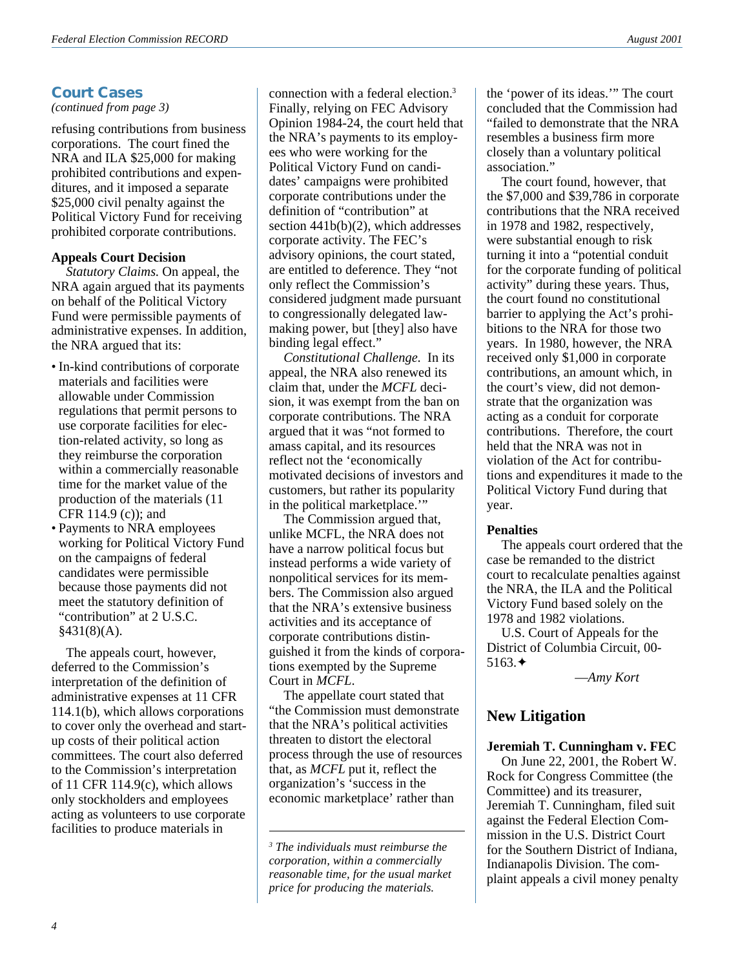#### **Court Cases**

#### *(continued from page 3)*

refusing contributions from business corporations. The court fined the NRA and ILA \$25,000 for making prohibited contributions and expenditures, and it imposed a separate \$25,000 civil penalty against the Political Victory Fund for receiving prohibited corporate contributions.

#### **Appeals Court Decision**

*Statutory Claims.* On appeal, the NRA again argued that its payments on behalf of the Political Victory Fund were permissible payments of administrative expenses. In addition, the NRA argued that its:

- In-kind contributions of corporate materials and facilities were allowable under Commission regulations that permit persons to use corporate facilities for election-related activity, so long as they reimburse the corporation within a commercially reasonable time for the market value of the production of the materials (11 CFR 114.9 (c)); and
- Payments to NRA employees working for Political Victory Fund on the campaigns of federal candidates were permissible because those payments did not meet the statutory definition of "contribution" at 2 U.S.C.  $§431(8)(A).$

The appeals court, however, deferred to the Commission's interpretation of the definition of administrative expenses at 11 CFR 114.1(b), which allows corporations to cover only the overhead and startup costs of their political action committees. The court also deferred to the Commission's interpretation of 11 CFR 114.9(c), which allows only stockholders and employees acting as volunteers to use corporate facilities to produce materials in

connection with a federal election.3 Finally, relying on FEC Advisory Opinion 1984-24, the court held that the NRA's payments to its employees who were working for the Political Victory Fund on candidates' campaigns were prohibited corporate contributions under the definition of "contribution" at section 441b(b)(2), which addresses corporate activity. The FEC's advisory opinions, the court stated, are entitled to deference. They "not only reflect the Commission's considered judgment made pursuant to congressionally delegated lawmaking power, but [they] also have binding legal effect."

*Constitutional Challenge.* In its appeal, the NRA also renewed its claim that, under the *MCFL* decision, it was exempt from the ban on corporate contributions. The NRA argued that it was "not formed to amass capital, and its resources reflect not the 'economically motivated decisions of investors and customers, but rather its popularity in the political marketplace.""

The Commission argued that, unlike MCFL, the NRA does not have a narrow political focus but instead performs a wide variety of nonpolitical services for its members. The Commission also argued that the NRA's extensive business activities and its acceptance of corporate contributions distinguished it from the kinds of corporations exempted by the Supreme Court in *MCFL*.

The appellate court stated that "the Commission must demonstrate that the NRA's political activities threaten to distort the electoral process through the use of resources that, as *MCFL* put it, reflect the organization's 'success in the economic marketplace' rather than

the 'power of its ideas.'" The court concluded that the Commission had "failed to demonstrate that the NRA resembles a business firm more closely than a voluntary political association."

The court found, however, that the \$7,000 and \$39,786 in corporate contributions that the NRA received in 1978 and 1982, respectively, were substantial enough to risk turning it into a "potential conduit for the corporate funding of political activity" during these years. Thus, the court found no constitutional barrier to applying the Act's prohibitions to the NRA for those two years. In 1980, however, the NRA received only \$1,000 in corporate contributions, an amount which, in the court's view, did not demonstrate that the organization was acting as a conduit for corporate contributions. Therefore, the court held that the NRA was not in violation of the Act for contributions and expenditures it made to the Political Victory Fund during that year.

#### **Penalties**

The appeals court ordered that the case be remanded to the district court to recalculate penalties against the NRA, the ILA and the Political Victory Fund based solely on the 1978 and 1982 violations.

U.S. Court of Appeals for the District of Columbia Circuit, 00- 5163.✦

—*Amy Kort*

#### **New Litigation**

#### **Jeremiah T. Cunningham v. FEC**

On June 22, 2001, the Robert W. Rock for Congress Committee (the Committee) and its treasurer, Jeremiah T. Cunningham, filed suit against the Federal Election Commission in the U.S. District Court for the Southern District of Indiana, Indianapolis Division. The complaint appeals a civil money penalty

*<sup>3</sup> The individuals must reimburse the corporation, within a commercially reasonable time, for the usual market price for producing the materials.*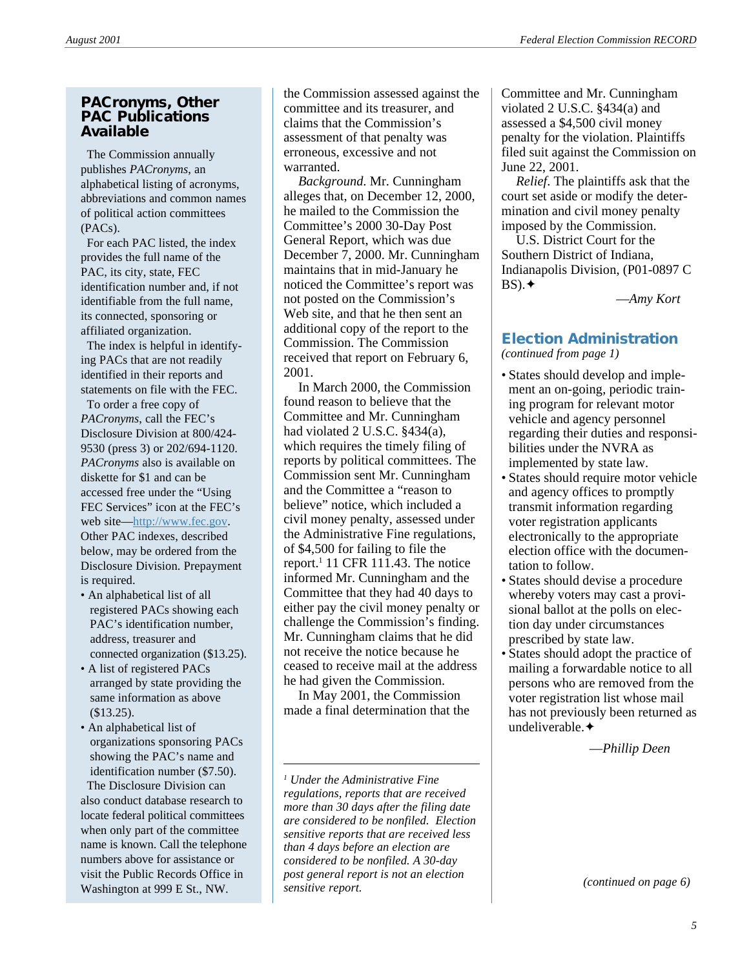#### **PACronyms, Other PAC Publications Available**

 The Commission annually publishes *PACronyms*, an alphabetical listing of acronyms, abbreviations and common names of political action committees (PACs).

 For each PAC listed, the index provides the full name of the PAC, its city, state, FEC identification number and, if not identifiable from the full name, its connected, sponsoring or affiliated organization.

 The index is helpful in identifying PACs that are not readily identified in their reports and statements on file with the FEC.

 To order a free copy of *PACronyms*, call the FEC's Disclosure Division at 800/424- 9530 (press 3) or 202/694-1120. *PACronyms* also is available on diskette for \$1 and can be accessed free under the "Using FEC Services" icon at the FEC's web site—[http://www.fec.gov.](http://www.fec.gov) Other PAC indexes, described below, may be ordered from the Disclosure Division. Prepayment is required.

- An alphabetical list of all registered PACs showing each PAC's identification number, address, treasurer and connected organization (\$13.25).
- A list of registered PACs arranged by state providing the same information as above (\$13.25).
- An alphabetical list of organizations sponsoring PACs showing the PAC's name and identification number (\$7.50).

 The Disclosure Division can also conduct database research to locate federal political committees when only part of the committee name is known. Call the telephone numbers above for assistance or visit the Public Records Office in Washington at 999 E St., NW.

the Commission assessed against the committee and its treasurer, and claims that the Commission's assessment of that penalty was erroneous, excessive and not warranted.

*Background*. Mr. Cunningham alleges that, on December 12, 2000, he mailed to the Commission the Committee's 2000 30-Day Post General Report, which was due December 7, 2000. Mr. Cunningham maintains that in mid-January he noticed the Committee's report was not posted on the Commission's Web site, and that he then sent an additional copy of the report to the Commission. The Commission received that report on February 6, 2001.

In March 2000, the Commission found reason to believe that the Committee and Mr. Cunningham had violated 2 U.S.C. §434(a), which requires the timely filing of reports by political committees. The Commission sent Mr. Cunningham and the Committee a "reason to believe" notice, which included a civil money penalty, assessed under the Administrative Fine regulations, of \$4,500 for failing to file the report.<sup>1</sup> 11 CFR 111.43. The notice informed Mr. Cunningham and the Committee that they had 40 days to either pay the civil money penalty or challenge the Commission's finding. Mr. Cunningham claims that he did not receive the notice because he ceased to receive mail at the address he had given the Commission.

In May 2001, the Commission made a final determination that the

Committee and Mr. Cunningham violated 2 U.S.C. §434(a) and assessed a \$4,500 civil money penalty for the violation. Plaintiffs filed suit against the Commission on June 22, 2001.

*Relief*. The plaintiffs ask that the court set aside or modify the determination and civil money penalty imposed by the Commission.

U.S. District Court for the Southern District of Indiana, Indianapolis Division, (P01-0897 C BS).✦

—*Amy Kort*

## **Election Administration**

*(continued from page 1)*

- States should develop and implement an on-going, periodic training program for relevant motor vehicle and agency personnel regarding their duties and responsibilities under the NVRA as implemented by state law.
- States should require motor vehicle and agency offices to promptly transmit information regarding voter registration applicants electronically to the appropriate election office with the documentation to follow.
- States should devise a procedure whereby voters may cast a provisional ballot at the polls on election day under circumstances prescribed by state law.
- States should adopt the practice of mailing a forwardable notice to all persons who are removed from the voter registration list whose mail has not previously been returned as undeliverable.✦

—*Phillip Deen*

*(continued on page 6)*

*<sup>1</sup> Under the Administrative Fine regulations, reports that are received more than 30 days after the filing date are considered to be nonfiled. Election sensitive reports that are received less than 4 days before an election are considered to be nonfiled. A 30-day post general report is not an election sensitive report.*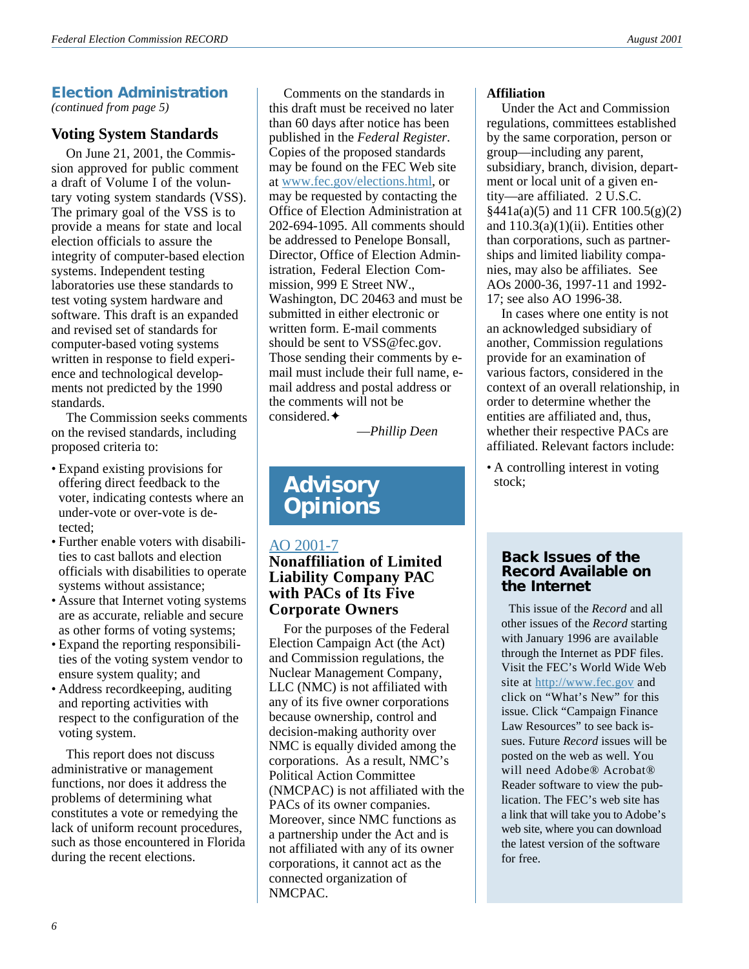### **Election Administration**

*(continued from page 5)*

#### **Voting System Standards**

On June 21, 2001, the Commission approved for public comment a draft of Volume I of the voluntary voting system standards (VSS). The primary goal of the VSS is to provide a means for state and local election officials to assure the integrity of computer-based election systems. Independent testing laboratories use these standards to test voting system hardware and software. This draft is an expanded and revised set of standards for computer-based voting systems written in response to field experience and technological developments not predicted by the 1990 standards.

The Commission seeks comments on the revised standards, including proposed criteria to:

- Expand existing provisions for offering direct feedback to the voter, indicating contests where an under-vote or over-vote is detected;
- Further enable voters with disabilities to cast ballots and election officials with disabilities to operate systems without assistance;
- Assure that Internet voting systems are as accurate, reliable and secure as other forms of voting systems;
- Expand the reporting responsibilities of the voting system vendor to ensure system quality; and
- Address recordkeeping, auditing and reporting activities with respect to the configuration of the voting system.

This report does not discuss administrative or management functions, nor does it address the problems of determining what constitutes a vote or remedying the lack of uniform recount procedures, such as those encountered in Florida during the recent elections.

Comments on the standards in this draft must be received no later than 60 days after notice has been published in the *Federal Register*. Copies of the proposed standards may be found on the FEC Web site at [www.fec.gov/elections.html](http://www.fec.gov/elections.html), or may be requested by contacting the Office of Election Administration at 202-694-1095. All comments should be addressed to Penelope Bonsall, Director, Office of Election Administration, Federal Election Commission, 999 E Street NW., Washington, DC 20463 and must be submitted in either electronic or written form. E-mail comments should be sent to VSS@fec.gov. Those sending their comments by email must include their full name, email address and postal address or the comments will not be considered.✦

—*Phillip Deen*

### **Advisory Opinions**

#### [AO 2001-7](http://saos.fec.gov/aodocs/2001-07.pdf)

#### **Nonaffiliation of Limited Liability Company PAC with PACs of Its Five Corporate Owners**

For the purposes of the Federal Election Campaign Act (the Act) and Commission regulations, the Nuclear Management Company, LLC (NMC) is not affiliated with any of its five owner corporations because ownership, control and decision-making authority over NMC is equally divided among the corporations. As a result, NMC's Political Action Committee (NMCPAC) is not affiliated with the PACs of its owner companies. Moreover, since NMC functions as a partnership under the Act and is not affiliated with any of its owner corporations, it cannot act as the connected organization of NMCPAC.

#### **Affiliation**

Under the Act and Commission regulations, committees established by the same corporation, person or group—including any parent, subsidiary, branch, division, department or local unit of a given entity—are affiliated. 2 U.S.C.  $§441a(a)(5)$  and 11 CFR 100.5(g)(2) and  $110.3(a)(1)(ii)$ . Entities other than corporations, such as partnerships and limited liability companies, may also be affiliates. See AOs 2000-36, 1997-11 and 1992- 17; see also AO 1996-38.

In cases where one entity is not an acknowledged subsidiary of another, Commission regulations provide for an examination of various factors, considered in the context of an overall relationship, in order to determine whether the entities are affiliated and, thus, whether their respective PACs are affiliated. Relevant factors include:

• A controlling interest in voting stock;

#### **Back Issues of the Record Available on the Internet**

This issue of the *Record* and all other issues of the *Record* starting with January 1996 are available through the Internet as PDF files. Visit the FEC's World Wide Web site at <http://www.fec.gov> and click on "What's New" for this issue. Click "Campaign Finance Law Resources" to see back issues. Future *Record* issues will be posted on the web as well. You will need Adobe® Acrobat® Reader software to view the publication. The FEC's web site has a link that will take you to Adobe's web site, where you can download the latest version of the software for free.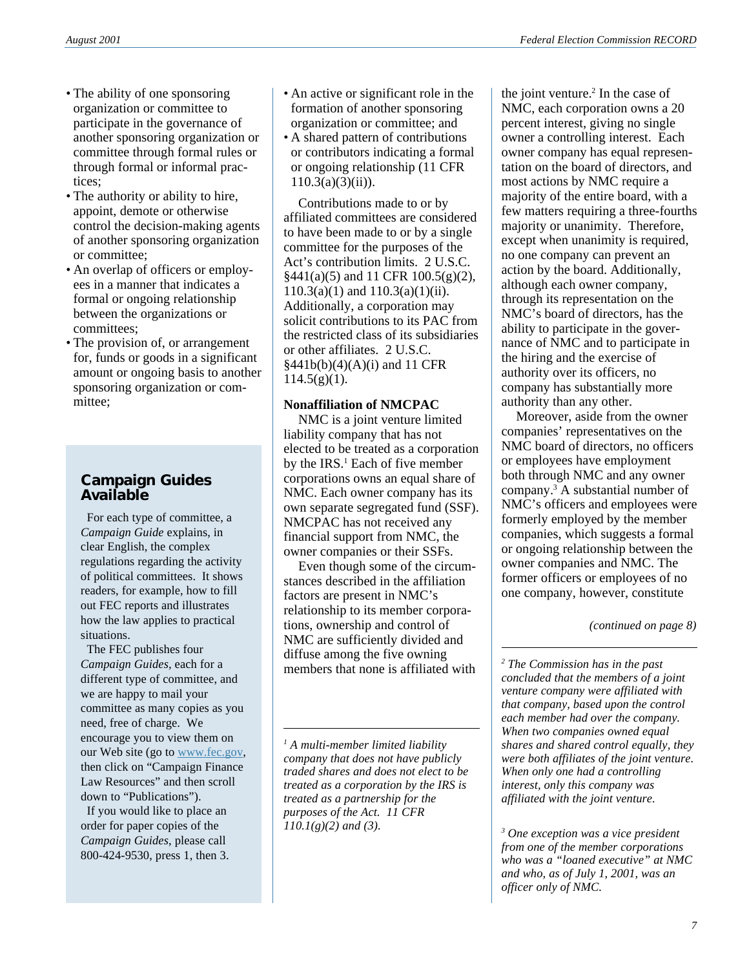- The ability of one sponsoring organization or committee to participate in the governance of another sponsoring organization or committee through formal rules or through formal or informal practices;
- The authority or ability to hire, appoint, demote or otherwise control the decision-making agents of another sponsoring organization or committee;
- An overlap of officers or employees in a manner that indicates a formal or ongoing relationship between the organizations or committees;
- The provision of, or arrangement for, funds or goods in a significant amount or ongoing basis to another sponsoring organization or committee;

#### **Campaign Guides Available**

 For each type of committee, a *Campaign Guide* explains, in clear English, the complex regulations regarding the activity of political committees. It shows readers, for example, how to fill out FEC reports and illustrates how the law applies to practical situations.

 The FEC publishes four *Campaign Guides,* each for a different type of committee, and we are happy to mail your committee as many copies as you need, free of charge. We encourage you to view them on our Web site (go to [www.fec.gov,](http://www.fec.gov) then click on "Campaign Finance Law Resources" and then scroll down to "Publications").

 If you would like to place an order for paper copies of the *Campaign Guides*, please call 800-424-9530, press 1, then 3.

- An active or significant role in the formation of another sponsoring organization or committee; and
- A shared pattern of contributions or contributors indicating a formal or ongoing relationship (11 CFR  $110.3(a)(3)(ii)$ ).

Contributions made to or by affiliated committees are considered to have been made to or by a single committee for the purposes of the Act's contribution limits. 2 U.S.C.  $§441(a)(5)$  and 11 CFR 100.5(g)(2),  $110.3(a)(1)$  and  $110.3(a)(1)(ii)$ . Additionally, a corporation may solicit contributions to its PAC from the restricted class of its subsidiaries or other affiliates. 2 U.S.C.  $§441b(b)(4)(A)(i)$  and 11 CFR  $114.5(g)(1)$ .

#### **Nonaffiliation of NMCPAC**

NMC is a joint venture limited liability company that has not elected to be treated as a corporation by the IRS.<sup>1</sup> Each of five member corporations owns an equal share of NMC. Each owner company has its own separate segregated fund (SSF). NMCPAC has not received any financial support from NMC, the owner companies or their SSFs.

Even though some of the circumstances described in the affiliation factors are present in NMC's relationship to its member corporations, ownership and control of NMC are sufficiently divided and diffuse among the five owning members that none is affiliated with

*1 A multi-member limited liability company that does not have publicly traded shares and does not elect to be treated as a corporation by the IRS is treated as a partnership for the purposes of the Act. 11 CFR 110.1(g)(2) and (3).*

the joint venture.<sup>2</sup> In the case of NMC, each corporation owns a 20 percent interest, giving no single owner a controlling interest. Each owner company has equal representation on the board of directors, and most actions by NMC require a majority of the entire board, with a few matters requiring a three-fourths majority or unanimity. Therefore, except when unanimity is required, no one company can prevent an action by the board. Additionally, although each owner company, through its representation on the NMC's board of directors, has the ability to participate in the governance of NMC and to participate in the hiring and the exercise of authority over its officers, no company has substantially more authority than any other.

Moreover, aside from the owner companies' representatives on the NMC board of directors, no officers or employees have employment both through NMC and any owner company.3 A substantial number of NMC's officers and employees were formerly employed by the member companies, which suggests a formal or ongoing relationship between the owner companies and NMC. The former officers or employees of no one company, however, constitute

*(continued on page 8)*

*2 The Commission has in the past concluded that the members of a joint venture company were affiliated with that company, based upon the control each member had over the company. When two companies owned equal shares and shared control equally, they were both affiliates of the joint venture. When only one had a controlling interest, only this company was affiliated with the joint venture.*

*3 One exception was a vice president from one of the member corporations who was a "loaned executive" at NMC and who, as of July 1, 2001, was an officer only of NMC.*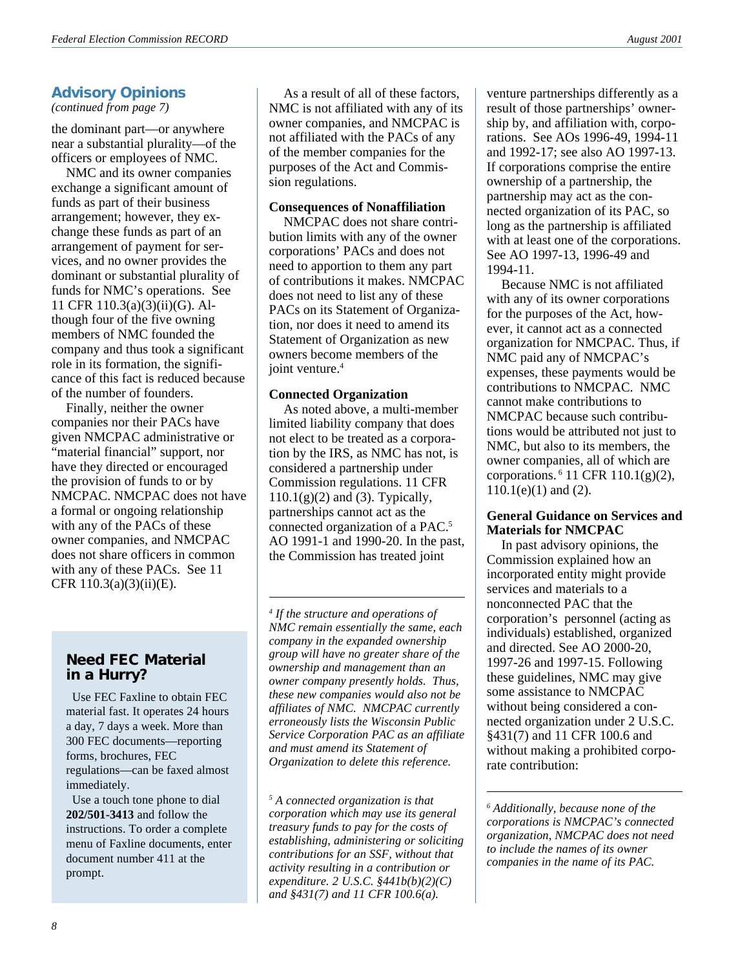#### **Advisory Opinions**

*(continued from page 7)*

the dominant part—or anywhere near a substantial plurality—of the officers or employees of NMC.

NMC and its owner companies exchange a significant amount of funds as part of their business arrangement; however, they exchange these funds as part of an arrangement of payment for services, and no owner provides the dominant or substantial plurality of funds for NMC's operations. See 11 CFR 110.3(a)(3)(ii)(G). Although four of the five owning members of NMC founded the company and thus took a significant role in its formation, the significance of this fact is reduced because of the number of founders.

Finally, neither the owner companies nor their PACs have given NMCPAC administrative or "material financial" support, nor have they directed or encouraged the provision of funds to or by NMCPAC. NMCPAC does not have a formal or ongoing relationship with any of the PACs of these owner companies, and NMCPAC does not share officers in common with any of these PACs. See 11 CFR  $110.3(a)(3)(ii)(E)$ .

#### **Need FEC Material in a Hurry?**

 Use FEC Faxline to obtain FEC material fast. It operates 24 hours a day, 7 days a week. More than 300 FEC documents—reporting forms, brochures, FEC regulations—can be faxed almost immediately.

 Use a touch tone phone to dial **202/501-3413** and follow the instructions. To order a complete menu of Faxline documents, enter document number 411 at the prompt.

As a result of all of these factors, NMC is not affiliated with any of its owner companies, and NMCPAC is not affiliated with the PACs of any of the member companies for the purposes of the Act and Commission regulations.

#### **Consequences of Nonaffiliation**

NMCPAC does not share contribution limits with any of the owner corporations' PACs and does not need to apportion to them any part of contributions it makes. NMCPAC does not need to list any of these PACs on its Statement of Organization, nor does it need to amend its Statement of Organization as new owners become members of the joint venture.<sup>4</sup>

#### **Connected Organization**

As noted above, a multi-member limited liability company that does not elect to be treated as a corporation by the IRS, as NMC has not, is considered a partnership under Commission regulations. 11 CFR  $110.1(g)(2)$  and (3). Typically, partnerships cannot act as the connected organization of a PAC.5 AO 1991-1 and 1990-20. In the past, the Commission has treated joint

*4 If the structure and operations of NMC remain essentially the same, each company in the expanded ownership group will have no greater share of the ownership and management than an owner company presently holds. Thus, these new companies would also not be affiliates of NMC. NMCPAC currently erroneously lists the Wisconsin Public Service Corporation PAC as an affiliate and must amend its Statement of Organization to delete this reference.*

*5 A connected organization is that corporation which may use its general treasury funds to pay for the costs of establishing, administering or soliciting contributions for an SSF, without that activity resulting in a contribution or expenditure. 2 U.S.C. §441b(b)(2)(C) and §431(7) and 11 CFR 100.6(a).*

venture partnerships differently as a result of those partnerships' ownership by, and affiliation with, corporations. See AOs 1996-49, 1994-11 and 1992-17; see also AO 1997-13. If corporations comprise the entire ownership of a partnership, the partnership may act as the connected organization of its PAC, so long as the partnership is affiliated with at least one of the corporations. See AO 1997-13, 1996-49 and 1994-11.

Because NMC is not affiliated with any of its owner corporations for the purposes of the Act, however, it cannot act as a connected organization for NMCPAC. Thus, if NMC paid any of NMCPAC's expenses, these payments would be contributions to NMCPAC. NMC cannot make contributions to NMCPAC because such contributions would be attributed not just to NMC, but also to its members, the owner companies, all of which are corporations. 6 11 CFR 110.1(g)(2),  $110.1(e)(1)$  and  $(2)$ .

#### **General Guidance on Services and Materials for NMCPAC**

In past advisory opinions, the Commission explained how an incorporated entity might provide services and materials to a nonconnected PAC that the corporation's personnel (acting as individuals) established, organized and directed. See AO 2000-20, 1997-26 and 1997-15. Following these guidelines, NMC may give some assistance to NMCPAC without being considered a connected organization under 2 U.S.C. §431(7) and 11 CFR 100.6 and without making a prohibited corporate contribution:

*6 Additionally, because none of the corporations is NMCPAC's connected organization, NMCPAC does not need to include the names of its owner companies in the name of its PAC.*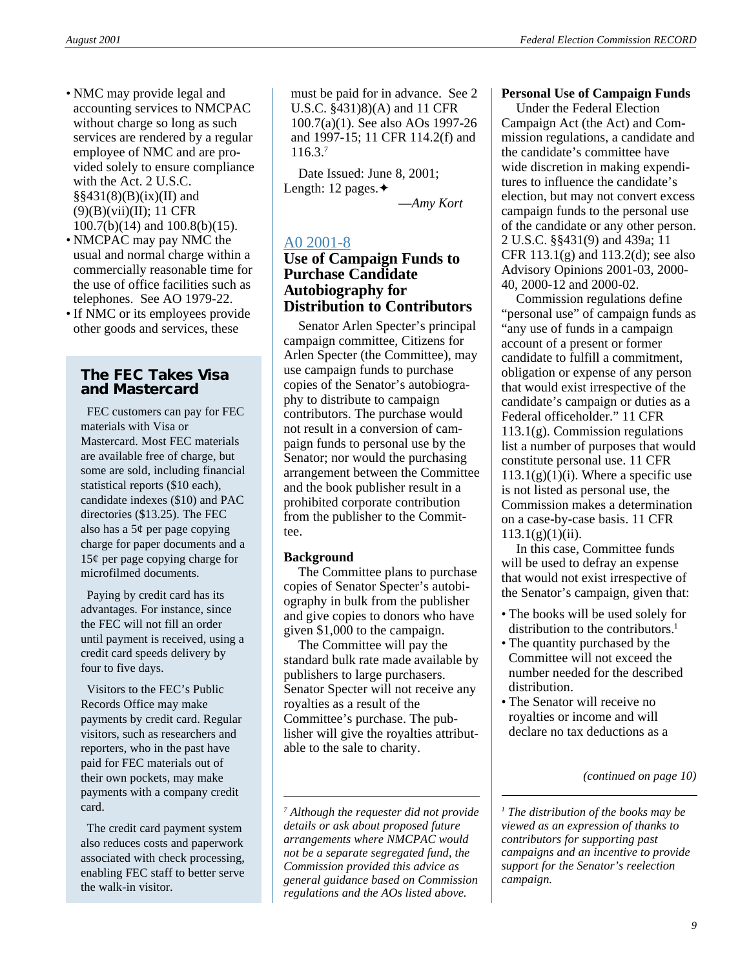- NMC may provide legal and accounting services to NMCPAC without charge so long as such services are rendered by a regular employee of NMC and are provided solely to ensure compliance with the Act. 2 U.S.C.  $\S$ §431(8)(B)(ix)(II) and (9)(B)(vii)(II); 11 CFR 100.7(b)(14) and 100.8(b)(15).
- NMCPAC may pay NMC the usual and normal charge within a commercially reasonable time for the use of office facilities such as telephones. See AO 1979-22.
- If NMC or its employees provide other goods and services, these

#### **The FEC Takes Visa and Mastercard**

 FEC customers can pay for FEC materials with Visa or Mastercard. Most FEC materials are available free of charge, but some are sold, including financial statistical reports (\$10 each), candidate indexes (\$10) and PAC directories (\$13.25). The FEC also has a 5¢ per page copying charge for paper documents and a 15¢ per page copying charge for microfilmed documents.

 Paying by credit card has its advantages. For instance, since the FEC will not fill an order until payment is received, using a credit card speeds delivery by four to five days.

 Visitors to the FEC's Public Records Office may make payments by credit card. Regular visitors, such as researchers and reporters, who in the past have paid for FEC materials out of their own pockets, may make payments with a company credit card.

 The credit card payment system also reduces costs and paperwork associated with check processing, enabling FEC staff to better serve the walk-in visitor.

must be paid for in advance. See 2 U.S.C. §431)8)(A) and 11 CFR 100.7(a)(1). See also AOs 1997-26 and 1997-15; 11 CFR 114.2(f) and 116.3.7

Date Issued: June 8, 2001; Length: 12 pages.✦

—*Amy Kort*

### [A0 2001-8](http://saos.fec.gov/aodocs/2001-08.pdf)

#### **Use of Campaign Funds to Purchase Candidate Autobiography for Distribution to Contributors**

Senator Arlen Specter's principal campaign committee, Citizens for Arlen Specter (the Committee), may use campaign funds to purchase copies of the Senator's autobiography to distribute to campaign contributors. The purchase would not result in a conversion of campaign funds to personal use by the Senator; nor would the purchasing arrangement between the Committee and the book publisher result in a prohibited corporate contribution from the publisher to the Committee.

#### **Background**

The Committee plans to purchase copies of Senator Specter's autobiography in bulk from the publisher and give copies to donors who have given \$1,000 to the campaign.

The Committee will pay the standard bulk rate made available by publishers to large purchasers. Senator Specter will not receive any royalties as a result of the Committee's purchase. The publisher will give the royalties attributable to the sale to charity.

#### **Personal Use of Campaign Funds**

Under the Federal Election Campaign Act (the Act) and Commission regulations, a candidate and the candidate's committee have wide discretion in making expenditures to influence the candidate's election, but may not convert excess campaign funds to the personal use of the candidate or any other person. 2 U.S.C. §§431(9) and 439a; 11 CFR 113.1(g) and 113.2(d); see also Advisory Opinions 2001-03, 2000- 40, 2000-12 and 2000-02.

Commission regulations define "personal use" of campaign funds as "any use of funds in a campaign account of a present or former candidate to fulfill a commitment, obligation or expense of any person that would exist irrespective of the candidate's campaign or duties as a Federal officeholder." 11 CFR 113.1(g). Commission regulations list a number of purposes that would constitute personal use. 11 CFR  $113.1(g)(1)(i)$ . Where a specific use is not listed as personal use, the Commission makes a determination on a case-by-case basis. 11 CFR  $113.1(g)(1)(ii)$ .

In this case, Committee funds will be used to defray an expense that would not exist irrespective of the Senator's campaign, given that:

- The books will be used solely for distribution to the contributors.<sup>1</sup>
- The quantity purchased by the Committee will not exceed the number needed for the described distribution.
- The Senator will receive no royalties or income and will declare no tax deductions as a

*(continued on page 10)*

*1 The distribution of the books may be viewed as an expression of thanks to contributors for supporting past campaigns and an incentive to provide support for the Senator's reelection campaign.*

*<sup>7</sup> Although the requester did not provide details or ask about proposed future arrangements where NMCPAC would not be a separate segregated fund, the Commission provided this advice as general guidance based on Commission regulations and the AOs listed above.*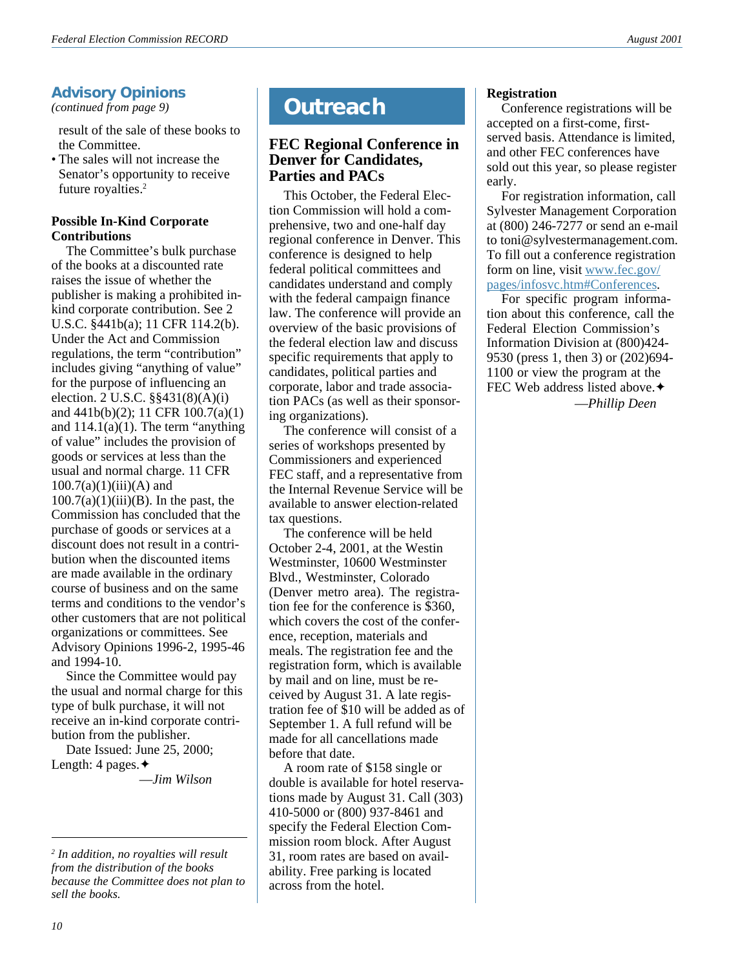*(continued from page 9)*

result of the sale of these books to the Committee.

• The sales will not increase the Senator's opportunity to receive future royalties.2

#### **Possible In-Kind Corporate Contributions**

The Committee's bulk purchase of the books at a discounted rate raises the issue of whether the publisher is making a prohibited inkind corporate contribution. See 2 U.S.C. §441b(a); 11 CFR 114.2(b). Under the Act and Commission regulations, the term "contribution" includes giving "anything of value" for the purpose of influencing an election. 2 U.S.C. §§431(8)(A)(i) and 441b(b)(2); 11 CFR 100.7(a)(1) and  $114.1(a)(1)$ . The term "anything" of value" includes the provision of goods or services at less than the usual and normal charge. 11 CFR  $100.7(a)(1)(iii)(A)$  and  $100.7(a)(1)(iii)(B)$ . In the past, the Commission has concluded that the purchase of goods or services at a discount does not result in a contribution when the discounted items are made available in the ordinary course of business and on the same terms and conditions to the vendor's other customers that are not political organizations or committees. See Advisory Opinions 1996-2, 1995-46 and 1994-10.

Since the Committee would pay the usual and normal charge for this type of bulk purchase, it will not receive an in-kind corporate contribution from the publisher.

Date Issued: June 25, 2000; Length: 4 pages.✦

—*Jim Wilson*

# Advisory Opinions<br>
(*continued from page 9*) **Cutreach**

#### **FEC Regional Conference in Denver for Candidates, Parties and PACs**

This October, the Federal Election Commission will hold a comprehensive, two and one-half day regional conference in Denver. This conference is designed to help federal political committees and candidates understand and comply with the federal campaign finance law. The conference will provide an overview of the basic provisions of the federal election law and discuss specific requirements that apply to candidates, political parties and corporate, labor and trade association PACs (as well as their sponsoring organizations).

The conference will consist of a series of workshops presented by Commissioners and experienced FEC staff, and a representative from the Internal Revenue Service will be available to answer election-related tax questions.

The conference will be held October 2-4, 2001, at the Westin Westminster, 10600 Westminster Blvd., Westminster, Colorado (Denver metro area). The registration fee for the conference is \$360, which covers the cost of the conference, reception, materials and meals. The registration fee and the registration form, which is available by mail and on line, must be received by August 31. A late registration fee of \$10 will be added as of September 1. A full refund will be made for all cancellations made before that date.

A room rate of \$158 single or double is available for hotel reservations made by August 31. Call (303) 410-5000 or (800) 937-8461 and specify the Federal Election Commission room block. After August 31, room rates are based on availability. Free parking is located across from the hotel.

#### **Registration**

Conference registrations will be accepted on a first-come, firstserved basis. Attendance is limited, and other FEC conferences have sold out this year, so please register early.

For registration information, call Sylvester Management Corporation at (800) 246-7277 or send an e-mail to toni@sylvestermanagement.com. To fill out a conference registration form on line, visit [www.fec.gov/](http://www.fec.gov/pages/infosvc.htm#Conferences) [pages/infosvc.htm#Conferences](http://www.fec.gov/pages/infosvc.htm#Conferences).

For specific program information about this conference, call the Federal Election Commission's Information Division at (800)424- 9530 (press 1, then 3) or (202)694- 1100 or view the program at the FEC Web address listed above.◆

—*Phillip Deen*

*<sup>2</sup> In addition, no royalties will result from the distribution of the books because the Committee does not plan to sell the books.*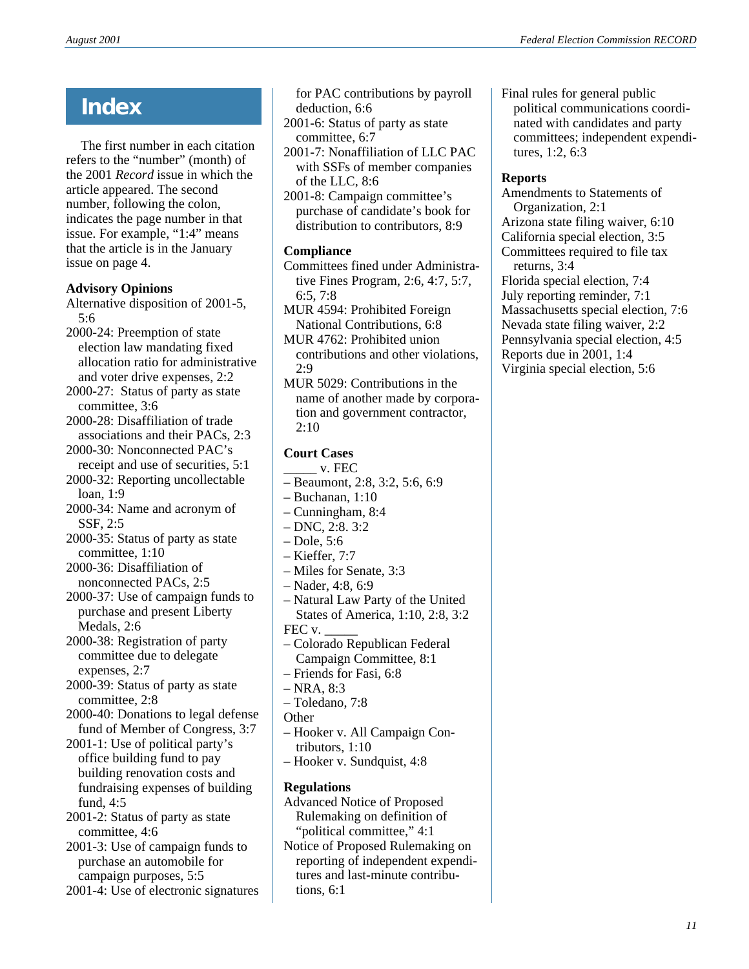The first number in each citation refers to the "number" (month) of the 2001 *Record* issue in which the article appeared. The second number, following the colon, indicates the page number in that issue. For example, "1:4" means that the article is in the January issue on page 4.

#### **Advisory Opinions**

Alternative disposition of 2001-5, 5:6

2000-24: Preemption of state election law mandating fixed allocation ratio for administrative and voter drive expenses, 2:2

2000-27: Status of party as state committee, 3:6

2000-28: Disaffiliation of trade associations and their PACs, 2:3

2000-30: Nonconnected PAC's receipt and use of securities, 5:1

- 2000-32: Reporting uncollectable loan, 1:9
- 2000-34: Name and acronym of SSF, 2:5

2000-35: Status of party as state committee, 1:10

2000-36: Disaffiliation of nonconnected PACs, 2:5

2000-37: Use of campaign funds to purchase and present Liberty Medals, 2:6

2000-38: Registration of party committee due to delegate expenses, 2:7

2000-39: Status of party as state committee, 2:8

2000-40: Donations to legal defense fund of Member of Congress, 3:7

- 2001-1: Use of political party's office building fund to pay building renovation costs and fundraising expenses of building fund, 4:5
- 2001-2: Status of party as state committee, 4:6

2001-3: Use of campaign funds to purchase an automobile for campaign purposes, 5:5

2001-4: Use of electronic signatures

- **Index** for PAC contributions by payroll<br>deduction, 6:6 deduction, 6:6
	- 2001-6: Status of party as state committee, 6:7
	- 2001-7: Nonaffiliation of LLC PAC with SSFs of member companies of the LLC, 8:6

2001-8: Campaign committee's purchase of candidate's book for distribution to contributors, 8:9

#### **Compliance**

Committees fined under Administrative Fines Program, 2:6, 4:7, 5:7, 6:5, 7:8

MUR 4594: Prohibited Foreign National Contributions, 6:8

MUR 4762: Prohibited union contributions and other violations, 2:9

MUR 5029: Contributions in the name of another made by corporation and government contractor, 2:10

#### **Court Cases**

- \_\_\_\_\_ v. FEC
- Beaumont, 2:8, 3:2, 5:6, 6:9
- Buchanan, 1:10
- Cunningham, 8:4
- DNC, 2:8. 3:2
- $-$  Dole, 5:6
- Kieffer, 7:7
- Miles for Senate, 3:3
- Nader, 4:8, 6:9
- Natural Law Party of the United States of America, 1:10, 2:8, 3:2 FEC v.
- Colorado Republican Federal Campaign Committee, 8:1
- Friends for Fasi, 6:8
- $-$  NRA, 8:3
- Toledano, 7:8
- **Other**
- Hooker v. All Campaign Contributors, 1:10
- Hooker v. Sundquist, 4:8

#### **Regulations**

Advanced Notice of Proposed Rulemaking on definition of "political committee," 4:1

Notice of Proposed Rulemaking on reporting of independent expenditures and last-minute contributions, 6:1

Final rules for general public political communications coordinated with candidates and party committees; independent expenditures, 1:2, 6:3

#### **Reports**

Amendments to Statements of Organization, 2:1 Arizona state filing waiver, 6:10 California special election, 3:5 Committees required to file tax returns, 3:4 Florida special election, 7:4 July reporting reminder, 7:1 Massachusetts special election, 7:6 Nevada state filing waiver, 2:2 Pennsylvania special election, 4:5 Reports due in 2001, 1:4 Virginia special election, 5:6